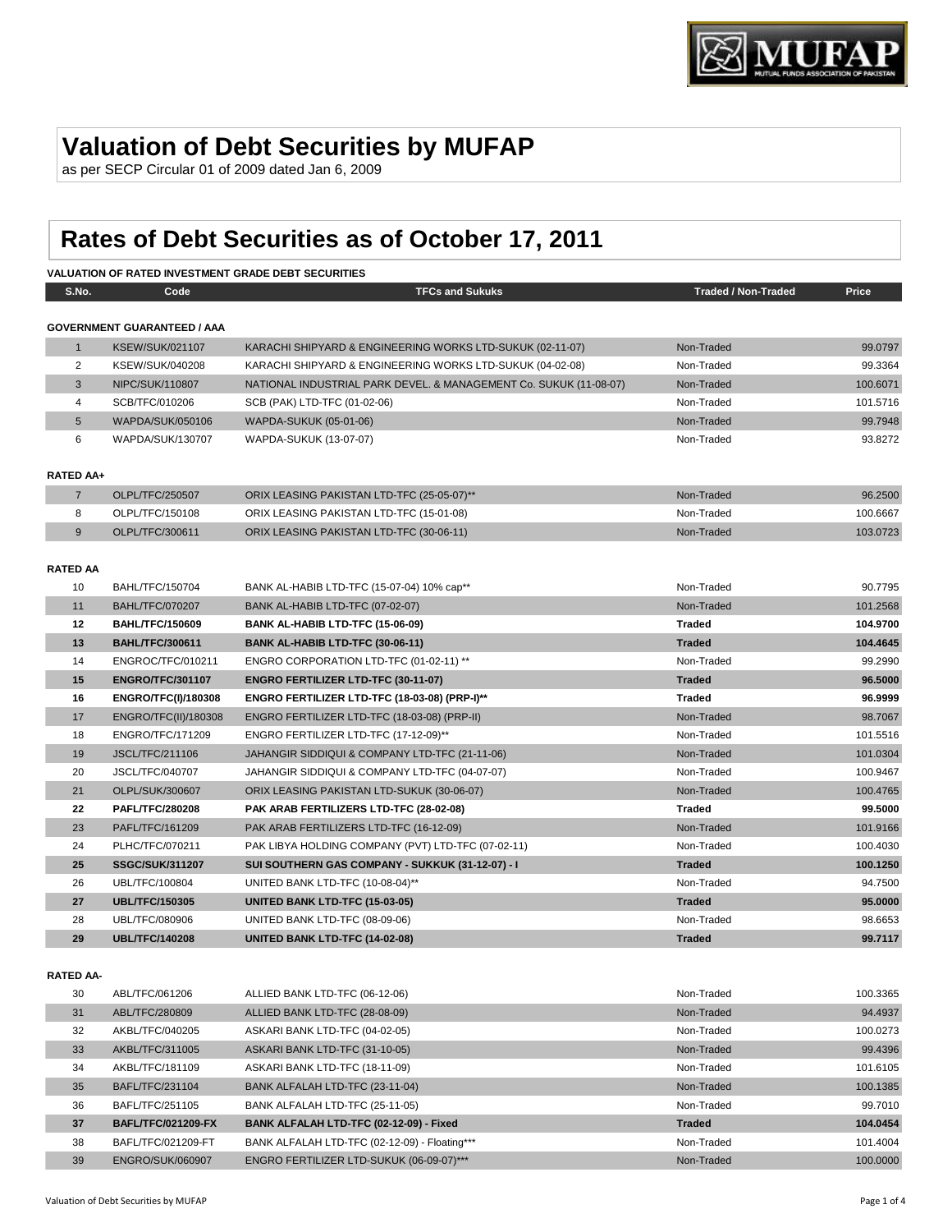

## **Valuation of Debt Securities by MUFAP**

as per SECP Circular 01 of 2009 dated Jan 6, 2009

# **Rates of Debt Securities as of October 17, 2011**

#### **VALUATION OF RATED INVESTMENT GRADE DEBT SECURITIES**

| S.No.            | Code                               | <b>TFCs and Sukuks</b>                                            | <b>Traded / Non-Traded</b> | Price    |
|------------------|------------------------------------|-------------------------------------------------------------------|----------------------------|----------|
|                  |                                    |                                                                   |                            |          |
|                  | <b>GOVERNMENT GUARANTEED / AAA</b> |                                                                   |                            |          |
| 1                | <b>KSEW/SUK/021107</b>             | KARACHI SHIPYARD & ENGINEERING WORKS LTD-SUKUK (02-11-07)         | Non-Traded                 | 99.0797  |
| 2                | KSEW/SUK/040208                    | KARACHI SHIPYARD & ENGINEERING WORKS LTD-SUKUK (04-02-08)         | Non-Traded                 | 99.3364  |
| 3                | NIPC/SUK/110807                    | NATIONAL INDUSTRIAL PARK DEVEL. & MANAGEMENT Co. SUKUK (11-08-07) | Non-Traded                 | 100.6071 |
| 4                | SCB/TFC/010206                     | SCB (PAK) LTD-TFC (01-02-06)                                      | Non-Traded                 | 101.5716 |
| 5                | WAPDA/SUK/050106                   | WAPDA-SUKUK (05-01-06)                                            | Non-Traded                 | 99.7948  |
| 6                | WAPDA/SUK/130707                   | WAPDA-SUKUK (13-07-07)                                            | Non-Traded                 | 93.8272  |
|                  |                                    |                                                                   |                            |          |
| <b>RATED AA+</b> |                                    |                                                                   |                            |          |
| $\overline{7}$   | OLPL/TFC/250507                    | ORIX LEASING PAKISTAN LTD-TFC (25-05-07)**                        | Non-Traded                 | 96.2500  |
| 8                | OLPL/TFC/150108                    | ORIX LEASING PAKISTAN LTD-TFC (15-01-08)                          | Non-Traded                 | 100.6667 |
| 9                | OLPL/TFC/300611                    | ORIX LEASING PAKISTAN LTD-TFC (30-06-11)                          | Non-Traded                 | 103.0723 |
|                  |                                    |                                                                   |                            |          |
| <b>RATED AA</b>  |                                    |                                                                   |                            |          |
| 10               | BAHL/TFC/150704                    | BANK AL-HABIB LTD-TFC (15-07-04) 10% cap**                        | Non-Traded                 | 90.7795  |
| 11               | <b>BAHL/TFC/070207</b>             | BANK AL-HABIB LTD-TFC (07-02-07)                                  | Non-Traded                 | 101.2568 |
| 12               | <b>BAHL/TFC/150609</b>             | BANK AL-HABIB LTD-TFC (15-06-09)                                  | <b>Traded</b>              | 104.9700 |
| 13               | <b>BAHL/TFC/300611</b>             | BANK AL-HABIB LTD-TFC (30-06-11)                                  | <b>Traded</b>              | 104.4645 |
| 14               | ENGROC/TFC/010211                  | ENGRO CORPORATION LTD-TFC (01-02-11) **                           | Non-Traded                 | 99.2990  |
| 15               | <b>ENGRO/TFC/301107</b>            | <b>ENGRO FERTILIZER LTD-TFC (30-11-07)</b>                        | <b>Traded</b>              | 96.5000  |
| 16               | <b>ENGRO/TFC(I)/180308</b>         | ENGRO FERTILIZER LTD-TFC (18-03-08) (PRP-I)**                     | <b>Traded</b>              | 96.9999  |
| 17               | ENGRO/TFC(II)/180308               | ENGRO FERTILIZER LTD-TFC (18-03-08) (PRP-II)                      | Non-Traded                 | 98.7067  |
| 18               | <b>ENGRO/TFC/171209</b>            | ENGRO FERTILIZER LTD-TFC (17-12-09)**                             | Non-Traded                 | 101.5516 |
| 19               | <b>JSCL/TFC/211106</b>             | JAHANGIR SIDDIQUI & COMPANY LTD-TFC (21-11-06)                    | Non-Traded                 | 101.0304 |
| 20               | JSCL/TFC/040707                    | JAHANGIR SIDDIQUI & COMPANY LTD-TFC (04-07-07)                    | Non-Traded                 | 100.9467 |
| 21               | OLPL/SUK/300607                    | ORIX LEASING PAKISTAN LTD-SUKUK (30-06-07)                        | Non-Traded                 | 100.4765 |
| 22               | <b>PAFL/TFC/280208</b>             | PAK ARAB FERTILIZERS LTD-TFC (28-02-08)                           | <b>Traded</b>              | 99.5000  |
| 23               | PAFL/TFC/161209                    | PAK ARAB FERTILIZERS LTD-TFC (16-12-09)                           | Non-Traded                 | 101.9166 |
| 24               | PLHC/TFC/070211                    | PAK LIBYA HOLDING COMPANY (PVT) LTD-TFC (07-02-11)                | Non-Traded                 | 100.4030 |
| 25               | <b>SSGC/SUK/311207</b>             | SUI SOUTHERN GAS COMPANY - SUKKUK (31-12-07) - I                  | <b>Traded</b>              | 100.1250 |
| 26               | UBL/TFC/100804                     | UNITED BANK LTD-TFC (10-08-04)**                                  | Non-Traded                 | 94.7500  |
| 27               | <b>UBL/TFC/150305</b>              | UNITED BANK LTD-TFC (15-03-05)                                    | <b>Traded</b>              | 95.0000  |
| 28               | UBL/TFC/080906                     | UNITED BANK LTD-TFC (08-09-06)                                    | Non-Traded                 | 98.6653  |
| 29               | <b>UBL/TFC/140208</b>              | UNITED BANK LTD-TFC (14-02-08)                                    | <b>Traded</b>              | 99.7117  |
|                  |                                    |                                                                   |                            |          |

#### **RATED AA-**

| 30 | ABL/TFC/061206            | ALLIED BANK LTD-TFC (06-12-06)                | Non-Traded    | 100.3365 |
|----|---------------------------|-----------------------------------------------|---------------|----------|
| 31 | ABL/TFC/280809            | ALLIED BANK LTD-TFC (28-08-09)                | Non-Traded    | 94.4937  |
| 32 | AKBL/TFC/040205           | ASKARI BANK LTD-TFC (04-02-05)                | Non-Traded    | 100.0273 |
| 33 | AKBL/TFC/311005           | ASKARI BANK LTD-TFC (31-10-05)                | Non-Traded    | 99.4396  |
| 34 | AKBL/TFC/181109           | ASKARI BANK LTD-TFC (18-11-09)                | Non-Traded    | 101.6105 |
| 35 | BAFL/TFC/231104           | BANK ALFALAH LTD-TFC (23-11-04)               | Non-Traded    | 100.1385 |
| 36 | BAFL/TFC/251105           | BANK ALFALAH LTD-TFC (25-11-05)               | Non-Traded    | 99.7010  |
| 37 | <b>BAFL/TFC/021209-FX</b> | BANK ALFALAH LTD-TFC (02-12-09) - Fixed       | <b>Traded</b> | 104.0454 |
| 38 | BAFL/TFC/021209-FT        | BANK ALFALAH LTD-TFC (02-12-09) - Floating*** | Non-Traded    | 101.4004 |
| 39 | <b>ENGRO/SUK/060907</b>   | ENGRO FERTILIZER LTD-SUKUK (06-09-07)***      | Non-Traded    | 100,0000 |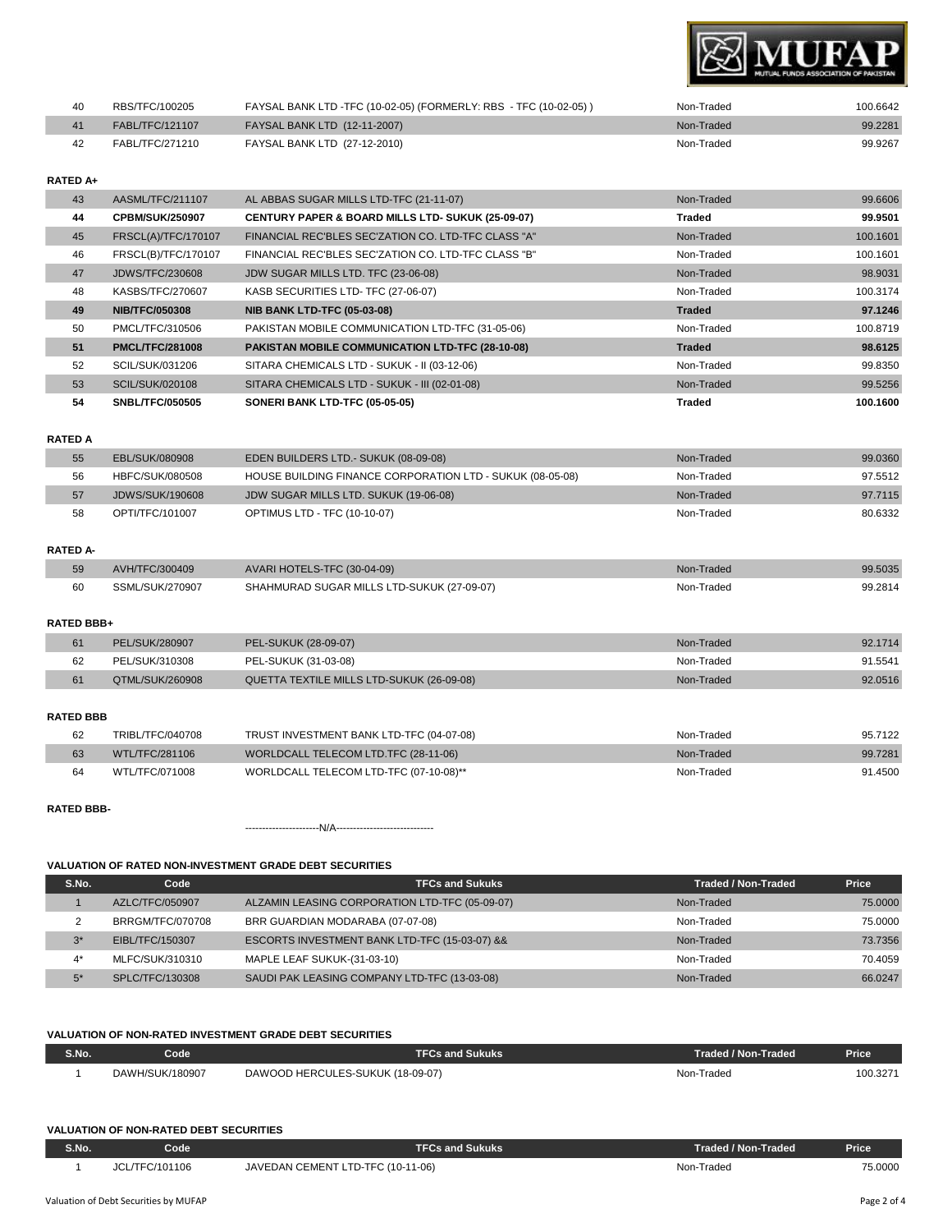

| 40 | RBS/TFC/100205  | FAYSAL BANK LTD -TFC (10-02-05) (FORMERLY: RBS - TFC (10-02-05)) | Non-Traded | 100.6642 |
|----|-----------------|------------------------------------------------------------------|------------|----------|
|    | FABL/TFC/121107 | FAYSAL BANK LTD (12-11-2007)                                     | Non-Traded | 99.2281  |
|    | FABL/TFC/271210 | FAYSAL BANK LTD (27-12-2010)                                     | Non-Traded | 99.9267  |

#### **RATED A+**

| 43 | AASML/TFC/211107       | AL ABBAS SUGAR MILLS LTD-TFC (21-11-07)                      | Non-Traded    | 99.6606             |
|----|------------------------|--------------------------------------------------------------|---------------|---------------------|
| 44 | <b>CPBM/SUK/250907</b> | <b>CENTURY PAPER &amp; BOARD MILLS LTD- SUKUK (25-09-07)</b> | Traded        | 99.9501             |
| 45 | FRSCL(A)/TFC/170107    | FINANCIAL REC'BLES SEC'ZATION CO. LTD-TFC CLASS "A"          | Non-Traded    | 100.1601            |
| 46 | FRSCL(B)/TFC/170107    | FINANCIAL REC'BLES SEC'ZATION CO. LTD-TFC CLASS "B"          | Non-Traded    | 100.1601            |
| 47 | JDWS/TFC/230608        | JDW SUGAR MILLS LTD. TFC (23-06-08)                          | Non-Traded    | 98.9031             |
| 48 | KASBS/TFC/270607       | KASB SECURITIES LTD- TFC (27-06-07)                          | Non-Traded    | 100.3174            |
|    |                        |                                                              |               |                     |
| 49 | <b>NIB/TFC/050308</b>  | <b>NIB BANK LTD-TFC (05-03-08)</b>                           | <b>Traded</b> |                     |
| 50 | PMCL/TFC/310506        | PAKISTAN MOBILE COMMUNICATION LTD-TFC (31-05-06)             | Non-Traded    | 100.8719            |
| 51 | <b>PMCL/TFC/281008</b> | PAKISTAN MOBILE COMMUNICATION LTD-TFC (28-10-08)             | <b>Traded</b> | 98.6125             |
| 52 | SCIL/SUK/031206        | SITARA CHEMICALS LTD - SUKUK - II (03-12-06)                 | Non-Traded    | 99.8350             |
| 53 | SCIL/SUK/020108        | SITARA CHEMICALS LTD - SUKUK - III (02-01-08)                | Non-Traded    | 99.5256             |
| 54 | <b>SNBL/TFC/050505</b> | SONERI BANK LTD-TFC (05-05-05)                               | <b>Traded</b> | 97.1246<br>100.1600 |

#### **RATED A**

| 55 | EBL/SUK/080908  | <b>EDEN BUILDERS LTD.- SUKUK (08-09-08)</b>               | Non-Traded | 99.0360 |
|----|-----------------|-----------------------------------------------------------|------------|---------|
| 56 | HBFC/SUK/080508 | HOUSE BUILDING FINANCE CORPORATION LTD - SUKUK (08-05-08) | Non-Traded | 97.5512 |
| 57 | JDWS/SUK/190608 | JDW SUGAR MILLS LTD. SUKUK (19-06-08)                     | Non-Traded | 97.7115 |
| 58 | OPTI/TFC/101007 | <b>OPTIMUS LTD - TFC (10-10-07)</b>                       | Non-Traded | 80.6332 |

#### **RATED A-**

| 59 | AVH/TFC/300409  | AVARI HOTELS-TFC (30-04-09)                | Non-Traded | 99.5035 |
|----|-----------------|--------------------------------------------|------------|---------|
| 60 | SSML/SUK/270907 | SHAHMURAD SUGAR MILLS LTD-SUKUK (27-09-07) | Non-Traded | 99.2814 |

#### **RATED BBB+**

|    | PEL/SUK/280907  | PEL-SUKUK (28-09-07)                      | Non-Traded | 92.1714 |
|----|-----------------|-------------------------------------------|------------|---------|
| 62 | PEL/SUK/310308  | PEL-SUKUK (31-03-08)                      | Non-Traded | 91.5541 |
|    | QTML/SUK/260908 | QUETTA TEXTILE MILLS LTD-SUKUK (26-09-08) | Non-Traded | 92.0516 |

#### **RATED BBB**

| 62 | TRIBL/TFC/040708 | TRUST INVESTMENT BANK LTD-TFC (04-07-08) | Non-Traded | 95.7122 |
|----|------------------|------------------------------------------|------------|---------|
| 63 | WTL/TFC/281106   | WORLDCALL TELECOM LTD.TFC (28-11-06)     | Non-Traded | 99.7281 |
| 64 | WTL/TFC/071008   | WORLDCALL TELECOM LTD-TFC (07-10-08)**   | Non-Traded | 91.4500 |

#### **RATED BBB-**

----------------------N/A-----------------------------

### **VALUATION OF RATED NON-INVESTMENT GRADE DEBT SECURITIES**

| S.No. | Code             | <b>TFCs and Sukuks</b>                         | <b>Traded / Non-Traded</b> | Price   |
|-------|------------------|------------------------------------------------|----------------------------|---------|
|       | AZLC/TFC/050907  | ALZAMIN LEASING CORPORATION LTD-TFC (05-09-07) | Non-Traded                 | 75.0000 |
|       | BRRGM/TFC/070708 | BRR GUARDIAN MODARABA (07-07-08)               | Non-Traded                 | 75,0000 |
| $3^*$ | EIBL/TFC/150307  | ESCORTS INVESTMENT BANK LTD-TFC (15-03-07) &&  | Non-Traded                 | 73.7356 |
| $4^*$ | MLFC/SUK/310310  | MAPLE LEAF SUKUK-(31-03-10)                    | Non-Traded                 | 70.4059 |
| $5*$  | SPLC/TFC/130308  | SAUDI PAK LEASING COMPANY LTD-TFC (13-03-08)   | Non-Traded                 | 66.0247 |

#### **VALUATION OF NON-RATED INVESTMENT GRADE DEBT SECURITIES**

| S.No. | Code'           | <b>FFCs and Sukuks</b>           | Traded / Non-Traded | <b>Price</b> |
|-------|-----------------|----------------------------------|---------------------|--------------|
|       | DAWH/SUK/180907 | DAWOOD HERCULES-SUKUK (18-09-07) | Non-Traded          | 100.3271     |

#### **VALUATION OF NON-RATED DEBT SECURITIES**

| <b>S.No.</b> | Code           | TFCs and Sukuks                   | Traded / Non-Traded | <b>Price</b> |
|--------------|----------------|-----------------------------------|---------------------|--------------|
|              | JCL/TFC/101106 | JAVEDAN CEMENT LTD-TFC (10-11-06) | Non-Traded          | 75.0000      |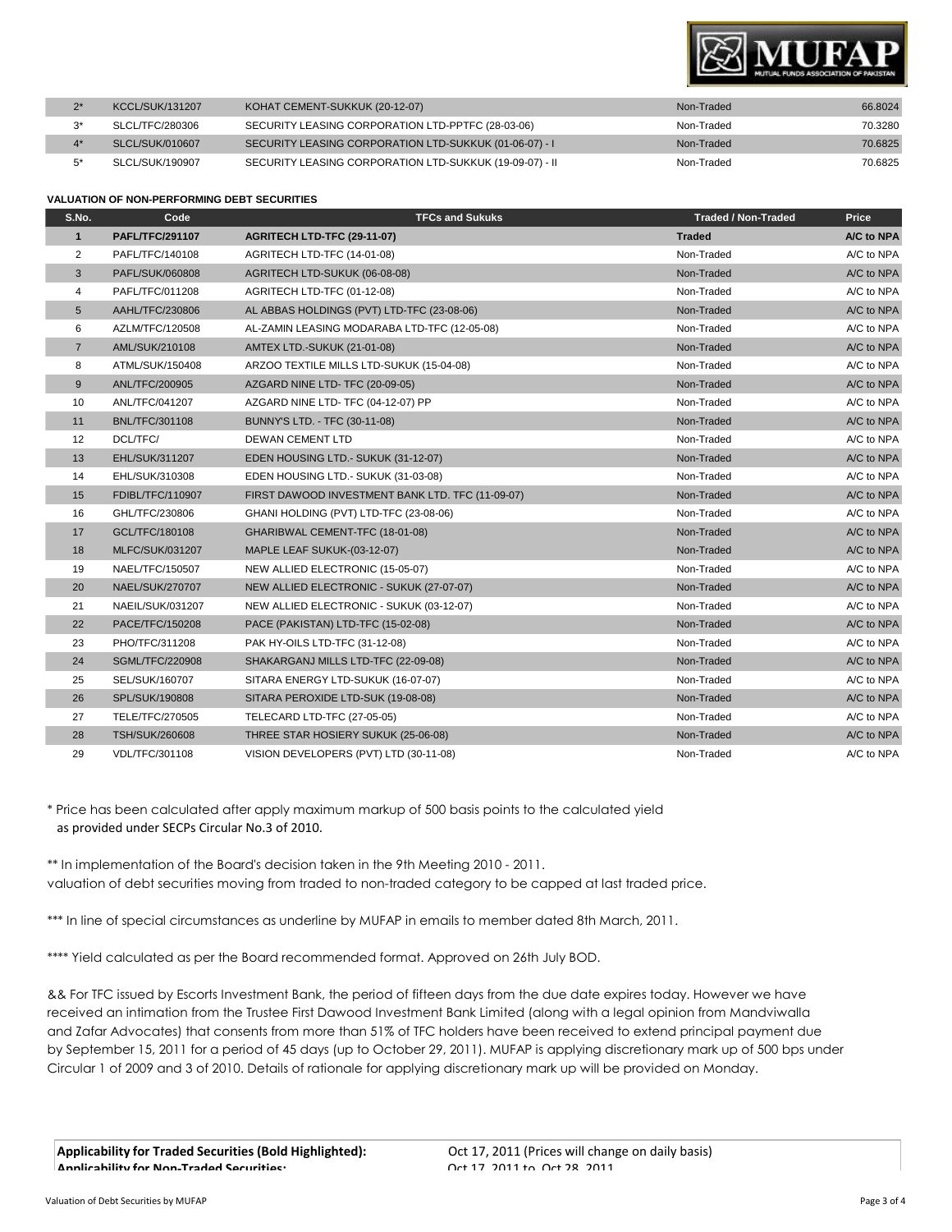

| <b>KCCL/SUK/131207</b> | KOHAT CEMENT-SUKKUK (20-12-07)                          | Non-Traded | 66.8024 |
|------------------------|---------------------------------------------------------|------------|---------|
| SLCL/TFC/280306        | SECURITY LEASING CORPORATION LTD-PPTFC (28-03-06)       | Non-Traded | 70.3280 |
| SLCL/SUK/010607        | SECURITY LEASING CORPORATION LTD-SUKKUK (01-06-07) - I  | Non-Traded | 70.6825 |
| SLCL/SUK/190907        | SECURITY LEASING CORPORATION LTD-SUKKUK (19-09-07) - II | Non-Traded | 70.6825 |

#### **VALUATION OF NON-PERFORMING DEBT SECURITIES**

| S.No.             | Code                   | <b>TFCs and Sukuks</b>                           | <b>Traded / Non-Traded</b> | Price      |
|-------------------|------------------------|--------------------------------------------------|----------------------------|------------|
| $\mathbf{1}$      | <b>PAFL/TFC/291107</b> | AGRITECH LTD-TFC (29-11-07)                      | <b>Traded</b>              | A/C to NPA |
| 2                 | PAFL/TFC/140108        | AGRITECH LTD-TFC (14-01-08)                      | Non-Traded                 | A/C to NPA |
| 3                 | PAFL/SUK/060808        | AGRITECH LTD-SUKUK (06-08-08)                    | Non-Traded                 | A/C to NPA |
| 4                 | PAFL/TFC/011208        | AGRITECH LTD-TFC (01-12-08)                      | Non-Traded                 | A/C to NPA |
| 5                 | AAHL/TFC/230806        | AL ABBAS HOLDINGS (PVT) LTD-TFC (23-08-06)       | Non-Traded                 | A/C to NPA |
| 6                 | AZLM/TFC/120508        | AL-ZAMIN LEASING MODARABA LTD-TFC (12-05-08)     | Non-Traded                 | A/C to NPA |
| $\overline{7}$    | AML/SUK/210108         | <b>AMTEX LTD.-SUKUK (21-01-08)</b>               | Non-Traded                 | A/C to NPA |
| 8                 | ATML/SUK/150408        | ARZOO TEXTILE MILLS LTD-SUKUK (15-04-08)         | Non-Traded                 | A/C to NPA |
| 9                 | ANL/TFC/200905         | AZGARD NINE LTD-TFC (20-09-05)                   | Non-Traded                 | A/C to NPA |
| 10                | ANL/TFC/041207         | AZGARD NINE LTD- TFC (04-12-07) PP               | Non-Traded                 | A/C to NPA |
| 11                | <b>BNL/TFC/301108</b>  | BUNNY'S LTD. - TFC (30-11-08)                    | Non-Traded                 | A/C to NPA |
| $12 \overline{ }$ | DCL/TFC/               | <b>DEWAN CEMENT LTD</b>                          | Non-Traded                 | A/C to NPA |
| 13                | EHL/SUK/311207         | EDEN HOUSING LTD.- SUKUK (31-12-07)              | Non-Traded                 | A/C to NPA |
| 14                | EHL/SUK/310308         | EDEN HOUSING LTD.- SUKUK (31-03-08)              | Non-Traded                 | A/C to NPA |
| 15                | FDIBL/TFC/110907       | FIRST DAWOOD INVESTMENT BANK LTD. TFC (11-09-07) | Non-Traded                 | A/C to NPA |
| 16                | GHL/TFC/230806         | GHANI HOLDING (PVT) LTD-TFC (23-08-06)           | Non-Traded                 | A/C to NPA |
| 17                | GCL/TFC/180108         | GHARIBWAL CEMENT-TFC (18-01-08)                  | Non-Traded                 | A/C to NPA |
| 18                | <b>MLFC/SUK/031207</b> | MAPLE LEAF SUKUK-(03-12-07)                      | Non-Traded                 | A/C to NPA |
| 19                | NAEL/TFC/150507        | NEW ALLIED ELECTRONIC (15-05-07)                 | Non-Traded                 | A/C to NPA |
| 20                | NAEL/SUK/270707        | NEW ALLIED ELECTRONIC - SUKUK (27-07-07)         | Non-Traded                 | A/C to NPA |
| 21                | NAEIL/SUK/031207       | NEW ALLIED ELECTRONIC - SUKUK (03-12-07)         | Non-Traded                 | A/C to NPA |
| 22                | PACE/TFC/150208        | PACE (PAKISTAN) LTD-TFC (15-02-08)               | Non-Traded                 | A/C to NPA |
| 23                | PHO/TFC/311208         | PAK HY-OILS LTD-TFC (31-12-08)                   | Non-Traded                 | A/C to NPA |
| 24                | <b>SGML/TFC/220908</b> | SHAKARGANJ MILLS LTD-TFC (22-09-08)              | Non-Traded                 | A/C to NPA |
| 25                | SEL/SUK/160707         | SITARA ENERGY LTD-SUKUK (16-07-07)               | Non-Traded                 | A/C to NPA |
| 26                | SPL/SUK/190808         | SITARA PEROXIDE LTD-SUK (19-08-08)               | Non-Traded                 | A/C to NPA |
| 27                | TELE/TFC/270505        | TELECARD LTD-TFC (27-05-05)                      | Non-Traded                 | A/C to NPA |
| 28                | <b>TSH/SUK/260608</b>  | THREE STAR HOSIERY SUKUK (25-06-08)              | Non-Traded                 | A/C to NPA |
| 29                | VDL/TFC/301108         | VISION DEVELOPERS (PVT) LTD (30-11-08)           | Non-Traded                 | A/C to NPA |

\* Price has been calculated after apply maximum markup of 500 basis points to the calculated yield as provided under SECPs Circular No.3 of 2010.

\*\* In implementation of the Board's decision taken in the 9th Meeting 2010 - 2011. valuation of debt securities moving from traded to non-traded category to be capped at last traded price.

\*\*\* In line of special circumstances as underline by MUFAP in emails to member dated 8th March, 2011.

\*\*\*\* Yield calculated as per the Board recommended format. Approved on 26th July BOD.

&& For TFC issued by Escorts Investment Bank, the period of fifteen days from the due date expires today. However we have received an intimation from the Trustee First Dawood Investment Bank Limited (along with a legal opinion from Mandviwalla and Zafar Advocates) that consents from more than 51% of TFC holders have been received to extend principal payment due by September 15, 2011 for a period of 45 days (up to October 29, 2011). MUFAP is applying discretionary mark up of 500 bps under Circular 1 of 2009 and 3 of 2010. Details of rationale for applying discretionary mark up will be provided on Monday.